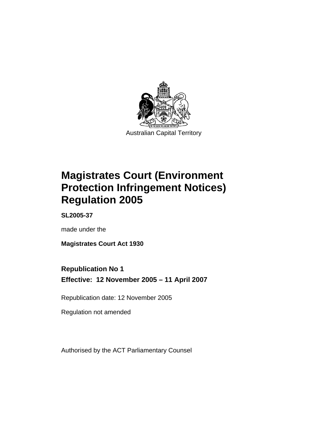

Australian Capital Territory

# **Magistrates Court (Environment Protection Infringement Notices) Regulation 2005**

**SL2005-37** 

made under the

**Magistrates Court Act 1930** 

# **Republication No 1**

**Effective: 12 November 2005 – 11 April 2007** 

Republication date: 12 November 2005

Regulation not amended

Authorised by the ACT Parliamentary Counsel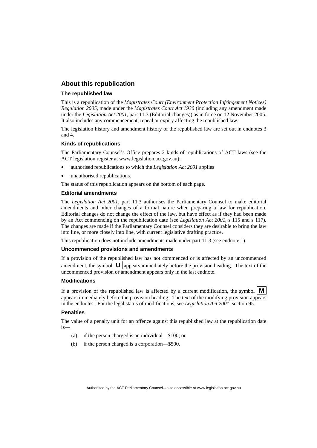### **About this republication**

#### **The republished law**

This is a republication of the *Magistrates Court (Environment Protection Infringement Notices) Regulation 2005*, made under the *Magistrates Court Act 1930* (including any amendment made under the *Legislation Act 2001*, part 11.3 (Editorial changes)) as in force on 12 November 2005*.*  It also includes any commencement, repeal or expiry affecting the republished law.

The legislation history and amendment history of the republished law are set out in endnotes 3 and 4.

#### **Kinds of republications**

The Parliamentary Counsel's Office prepares 2 kinds of republications of ACT laws (see the ACT legislation register at www.legislation.act.gov.au):

- authorised republications to which the *Legislation Act 2001* applies
- unauthorised republications.

The status of this republication appears on the bottom of each page.

#### **Editorial amendments**

The *Legislation Act 2001*, part 11.3 authorises the Parliamentary Counsel to make editorial amendments and other changes of a formal nature when preparing a law for republication. Editorial changes do not change the effect of the law, but have effect as if they had been made by an Act commencing on the republication date (see *Legislation Act 2001*, s 115 and s 117). The changes are made if the Parliamentary Counsel considers they are desirable to bring the law into line, or more closely into line, with current legislative drafting practice.

This republication does not include amendments made under part 11.3 (see endnote 1).

#### **Uncommenced provisions and amendments**

If a provision of the republished law has not commenced or is affected by an uncommenced amendment, the symbol  $\mathbf{U}$  appears immediately before the provision heading. The text of the uncommenced provision or amendment appears only in the last endnote.

#### **Modifications**

If a provision of the republished law is affected by a current modification, the symbol  $\mathbf{M}$ appears immediately before the provision heading. The text of the modifying provision appears in the endnotes. For the legal status of modifications, see *Legislation Act 2001*, section 95.

#### **Penalties**

The value of a penalty unit for an offence against this republished law at the republication date is—

- (a) if the person charged is an individual—\$100; or
- (b) if the person charged is a corporation—\$500.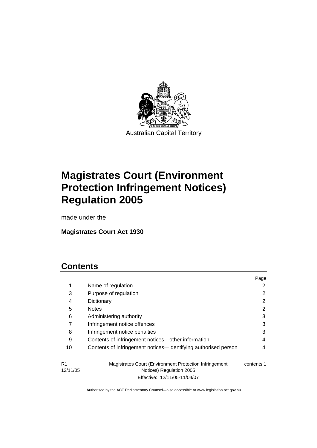

Australian Capital Territory

# **Magistrates Court (Environment Protection Infringement Notices) Regulation 2005**

made under the

# **Magistrates Court Act 1930**

# **Contents**

|                |                                                                                    | Page       |
|----------------|------------------------------------------------------------------------------------|------------|
| 1              | Name of regulation                                                                 |            |
| 3              | Purpose of regulation                                                              |            |
| 4              | Dictionary                                                                         | 2          |
| 5              | <b>Notes</b>                                                                       | 2          |
| 6              | Administering authority                                                            | 3          |
|                | Infringement notice offences                                                       | 3          |
| 8              | Infringement notice penalties                                                      | 3          |
| 9              | Contents of infringement notices—other information                                 | 4          |
| 10             | Contents of infringement notices—identifying authorised person                     | 4          |
| R1<br>12/11/05 | Magistrates Court (Environment Protection Infringement<br>Notices) Regulation 2005 | contents 1 |

Effective: 12/11/05-11/04/07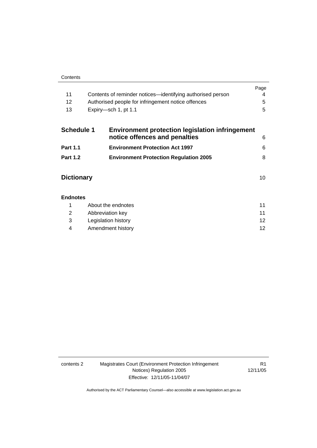| 11                |                                                    | Contents of reminder notices—identifying authorised person                              | Page<br>4 |
|-------------------|----------------------------------------------------|-----------------------------------------------------------------------------------------|-----------|
| 12                | Authorised people for infringement notice offences |                                                                                         | 5         |
| 13                |                                                    | Expiry-sch 1, pt 1.1                                                                    | 5         |
| <b>Schedule 1</b> |                                                    | <b>Environment protection legislation infringement</b><br>notice offences and penalties | 6         |
| <b>Part 1.1</b>   |                                                    | <b>Environment Protection Act 1997</b>                                                  | 6         |
| <b>Part 1.2</b>   |                                                    | <b>Environment Protection Regulation 2005</b>                                           | 8         |

| <b>Dictionary</b> |  |
|-------------------|--|
|                   |  |

|     | About the endnotes  | 11      |
|-----|---------------------|---------|
| 2   | Abbreviation key    | 11      |
| - 3 | Legislation history | $12 \,$ |
| 4   | Amendment history   | 12      |

| contents 2 |
|------------|
|------------|

2 Magistrates Court (Environment Protection Infringement Notices) Regulation 2005 Effective: 12/11/05-11/04/07

R1 12/11/05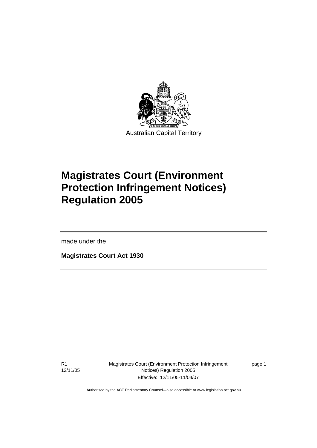

Australian Capital Territory

# **Magistrates Court (Environment Protection Infringement Notices) Regulation 2005**

made under the

l

**Magistrates Court Act 1930** 

R1 12/11/05 Magistrates Court (Environment Protection Infringement Notices) Regulation 2005 Effective: 12/11/05-11/04/07

page 1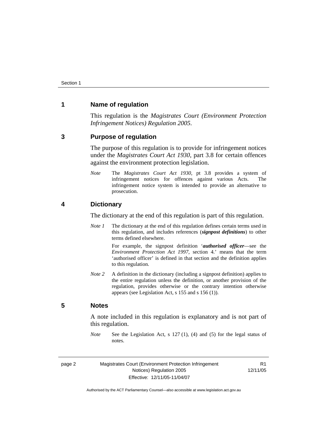### **1 Name of regulation**

This regulation is the *Magistrates Court (Environment Protection Infringement Notices) Regulation 2005*.

#### **3 Purpose of regulation**

The purpose of this regulation is to provide for infringement notices under the *Magistrates Court Act 1930*, part 3.8 for certain offences against the environment protection legislation.

*Note* The *Magistrates Court Act 1930*, pt 3.8 provides a system of infringement notices for offences against various Acts. The infringement notice system is intended to provide an alternative to prosecution.

#### **4 Dictionary**

The dictionary at the end of this regulation is part of this regulation.

*Note 1* The dictionary at the end of this regulation defines certain terms used in this regulation, and includes references (*signpost definitions*) to other terms defined elsewhere.

> For example, the signpost definition '*authorised officer*—see the *Environment Protection Act 1997*, section 4.' means that the term 'authorised officer' is defined in that section and the definition applies to this regulation.

*Note* 2 A definition in the dictionary (including a signpost definition) applies to the entire regulation unless the definition, or another provision of the regulation, provides otherwise or the contrary intention otherwise appears (see Legislation Act, s 155 and s 156 (1)).

### **5 Notes**

A note included in this regulation is explanatory and is not part of this regulation.

*Note* See the Legislation Act, s 127 (1), (4) and (5) for the legal status of notes.

|--|--|

Magistrates Court (Environment Protection Infringement Notices) Regulation 2005 Effective: 12/11/05-11/04/07

R1 12/11/05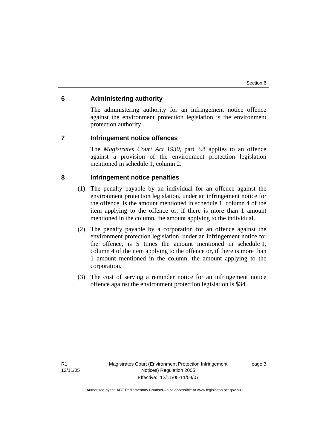### **6 Administering authority**

The administering authority for an infringement notice offence against the environment protection legislation is the environment protection authority.

### **7 Infringement notice offences**

The *Magistrates Court Act 1930*, part 3.8 applies to an offence against a provision of the environment protection legislation mentioned in schedule 1, column 2.

### **8 Infringement notice penalties**

- (1) The penalty payable by an individual for an offence against the environment protection legislation, under an infringement notice for the offence, is the amount mentioned in schedule 1, column 4 of the item applying to the offence or, if there is more than 1 amount mentioned in the column, the amount applying to the individual.
- (2) The penalty payable by a corporation for an offence against the environment protection legislation, under an infringement notice for the offence, is 5 times the amount mentioned in schedule 1, column 4 of the item applying to the offence or, if there is more than 1 amount mentioned in the column, the amount applying to the corporation.
- (3) The cost of serving a reminder notice for an infringement notice offence against the environment protection legislation is \$34.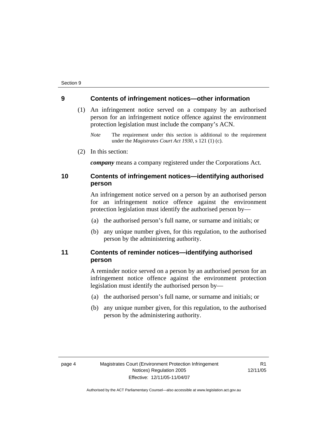#### **9 Contents of infringement notices—other information**

- (1) An infringement notice served on a company by an authorised person for an infringement notice offence against the environment protection legislation must include the company's ACN.
	- *Note* The requirement under this section is additional to the requirement under the *Magistrates Court Act 1930*, s 121 (1) (c).
- (2) In this section:

*company* means a company registered under the Corporations Act.

### **10 Contents of infringement notices—identifying authorised person**

An infringement notice served on a person by an authorised person for an infringement notice offence against the environment protection legislation must identify the authorised person by—

- (a) the authorised person's full name, or surname and initials; or
- (b) any unique number given, for this regulation, to the authorised person by the administering authority.

### **11 Contents of reminder notices—identifying authorised person**

A reminder notice served on a person by an authorised person for an infringement notice offence against the environment protection legislation must identify the authorised person by—

- (a) the authorised person's full name, or surname and initials; or
- (b) any unique number given, for this regulation, to the authorised person by the administering authority.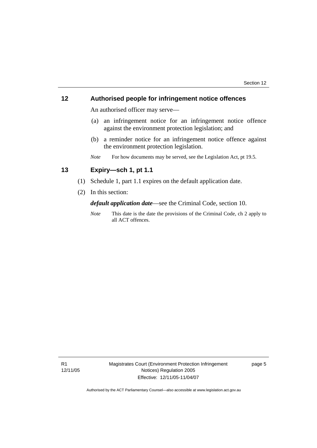### **12 Authorised people for infringement notice offences**

An authorised officer may serve—

- (a) an infringement notice for an infringement notice offence against the environment protection legislation; and
- (b) a reminder notice for an infringement notice offence against the environment protection legislation.
- *Note* For how documents may be served, see the Legislation Act, pt 19.5.

## **13 Expiry—sch 1, pt 1.1**

- (1) Schedule 1, part 1.1 expires on the default application date.
- (2) In this section:

*default application date*—see the Criminal Code, section 10.

*Note* This date is the date the provisions of the Criminal Code, ch 2 apply to all ACT offences.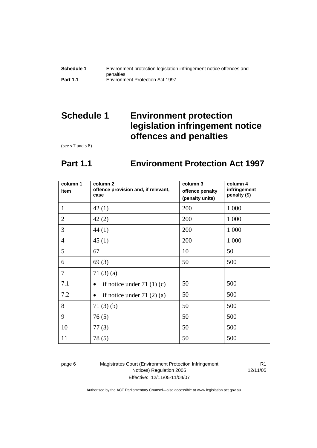| Schedule 1      | Environment protection legislation infringement notice offences and |
|-----------------|---------------------------------------------------------------------|
|                 | penalties                                                           |
| <b>Part 1.1</b> | <b>Environment Protection Act 1997</b>                              |

# **Schedule 1 Environment protection legislation infringement notice offences and penalties**

(see s 7 and s 8)

# **Part 1.1 Environment Protection Act 1997**

| column 1<br>item | column <sub>2</sub><br>offence provision and, if relevant,<br>case | column 3<br>offence penalty<br>(penalty units) | column 4<br>infringement<br>penalty (\$) |
|------------------|--------------------------------------------------------------------|------------------------------------------------|------------------------------------------|
| $\mathbf{1}$     | 42(1)                                                              | 200                                            | 1 0 0 0                                  |
| $\overline{2}$   | 42(2)                                                              | 200                                            | 1 0 0 0                                  |
| 3                | 44 (1)                                                             | 200                                            | 1 0 0 0                                  |
| $\overline{4}$   | 45(1)                                                              | 200                                            | 1 0 0 0                                  |
| 5                | 67                                                                 | 10                                             | 50                                       |
| 6                | 69(3)                                                              | 50                                             | 500                                      |
| $\overline{7}$   | 71 $(3)$ $(a)$                                                     |                                                |                                          |
| 7.1              | if notice under 71 $(1)(c)$                                        | 50                                             | 500                                      |
| 7.2              | if notice under $71(2)(a)$                                         | 50                                             | 500                                      |
| 8                | 71(3)(b)                                                           | 50                                             | 500                                      |
| 9                | 76(5)                                                              | 50                                             | 500                                      |
| 10               | 77(3)                                                              | 50                                             | 500                                      |
| 11               | 78(5)                                                              | 50                                             | 500                                      |

page 6 Magistrates Court (Environment Protection Infringement Notices) Regulation 2005 Effective: 12/11/05-11/04/07

R1 12/11/05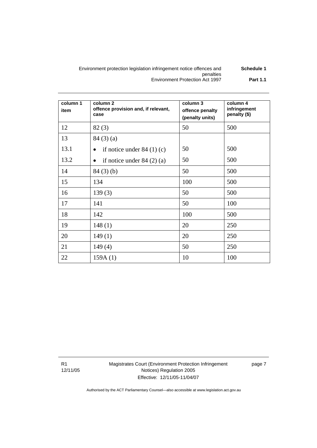#### Environment protection legislation infringement notice offences and penalties **Schedule 1**  Environment Protection Act 1997 **Part 1.1**

| column 1<br>item | column <sub>2</sub><br>offence provision and, if relevant,<br>case | column 3<br>offence penalty<br>(penalty units) | column 4<br>infringement<br>penalty (\$) |
|------------------|--------------------------------------------------------------------|------------------------------------------------|------------------------------------------|
| 12               | 82(3)                                                              | 50                                             | 500                                      |
| 13               | 84(3)(a)                                                           |                                                |                                          |
| 13.1             | if notice under $84(1)(c)$<br>$\bullet$                            | 50                                             | 500                                      |
| 13.2             | if notice under $84(2)(a)$<br>$\bullet$                            | 50                                             | 500                                      |
| 14               | 84(3)(b)                                                           | 50                                             | 500                                      |
| 15               | 134                                                                | 100                                            | 500                                      |
| 16               | 139(3)                                                             | 50                                             | 500                                      |
| 17               | 141                                                                | 50                                             | 100                                      |
| 18               | 142                                                                | 100                                            | 500                                      |
| 19               | 148(1)                                                             | 20                                             | 250                                      |
| 20               | 149(1)                                                             | 20                                             | 250                                      |
| 21               | 149(4)                                                             | 50                                             | 250                                      |
| 22               | 159A(1)                                                            | 10                                             | 100                                      |

Magistrates Court (Environment Protection Infringement Notices) Regulation 2005 Effective: 12/11/05-11/04/07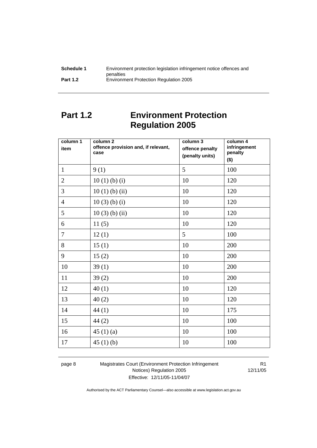| Schedule 1      | Environment protection legislation infringement notice offences and |
|-----------------|---------------------------------------------------------------------|
|                 | penalties                                                           |
| <b>Part 1.2</b> | <b>Environment Protection Regulation 2005</b>                       |

# **Part 1.2 Environment Protection Regulation 2005**

| column 1<br>item | column <sub>2</sub><br>offence provision and, if relevant,<br>case | column 3<br>offence penalty<br>(penalty units) | column 4<br>infringement<br>penalty<br>$($ \$) |
|------------------|--------------------------------------------------------------------|------------------------------------------------|------------------------------------------------|
| $\mathbf{1}$     | 9(1)                                                               | 5                                              | 100                                            |
| $\overline{2}$   | 10(1)(b)(i)                                                        | 10                                             | 120                                            |
| $\overline{3}$   | $10(1)$ (b) (ii)                                                   | 10                                             | 120                                            |
| $\overline{4}$   | $10(3)$ (b) (i)                                                    | 10                                             | 120                                            |
| 5                | $10(3)$ (b) (ii)                                                   | 10                                             | 120                                            |
| 6                | 11(5)                                                              | 10                                             | 120                                            |
| $\overline{7}$   | 12(1)                                                              | 5                                              | 100                                            |
| 8                | 15(1)                                                              | 10                                             | 200                                            |
| 9                | 15(2)                                                              | 10                                             | 200                                            |
| 10               | 39(1)                                                              | 10                                             | 200                                            |
| 11               | 39(2)                                                              | 10                                             | 200                                            |
| 12               | 40(1)                                                              | 10                                             | 120                                            |
| 13               | 40(2)                                                              | 10                                             | 120                                            |
| 14               | 44(1)                                                              | 10                                             | 175                                            |
| 15               | 44(2)                                                              | 10                                             | 100                                            |
| 16               | 45 $(1)(a)$                                                        | 10                                             | 100                                            |
| 17               | 45 $(1)$ $(b)$                                                     | 10                                             | 100                                            |

page 8 Magistrates Court (Environment Protection Infringement Notices) Regulation 2005 Effective: 12/11/05-11/04/07

R1 12/11/05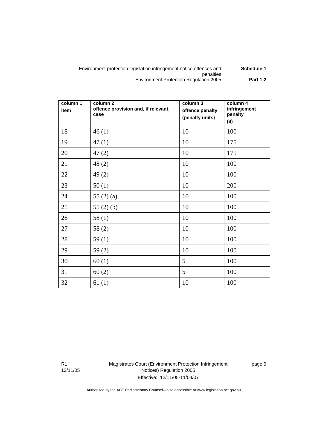#### Environment protection legislation infringement notice offences and penalties **Schedule 1**  Environment Protection Regulation 2005 **Part 1.2**

| column 1<br>item | column <sub>2</sub><br>offence provision and, if relevant,<br>case | column 3<br>offence penalty<br>(penalty units) | column 4<br>infringement<br>penalty<br>$($ \$) |
|------------------|--------------------------------------------------------------------|------------------------------------------------|------------------------------------------------|
| 18               | 46(1)                                                              | 10                                             | 100                                            |
| 19               | 47(1)                                                              | 10                                             | 175                                            |
| 20               | 47(2)                                                              | 10                                             | 175                                            |
| 21               | 48(2)                                                              | 10                                             | 100                                            |
| 22               | 49(2)                                                              | 10                                             | 100                                            |
| 23               | 50(1)                                                              | 10                                             | 200                                            |
| 24               | 55 $(2)$ $(a)$                                                     | 10                                             | 100                                            |
| 25               | 55 $(2)$ $(b)$                                                     | 10                                             | 100                                            |
| 26               | 58(1)                                                              | 10                                             | 100                                            |
| 27               | 58(2)                                                              | 10                                             | 100                                            |
| 28               | 59 $(1)$                                                           | 10                                             | 100                                            |
| 29               | 59(2)                                                              | 10                                             | 100                                            |
| 30               | 60(1)                                                              | 5                                              | 100                                            |
| 31               | 60(2)                                                              | 5                                              | 100                                            |
| 32               | 61(1)                                                              | 10                                             | 100                                            |

R1 12/11/05 Magistrates Court (Environment Protection Infringement Notices) Regulation 2005 Effective: 12/11/05-11/04/07

page 9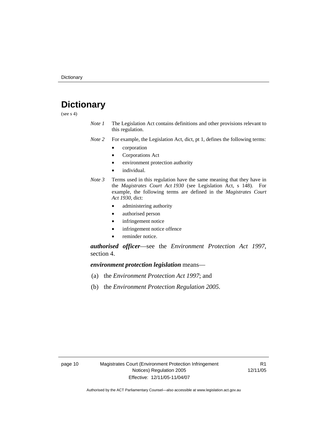# **Dictionary**

(see  $s$  4)

- *Note 1* The Legislation Act contains definitions and other provisions relevant to this regulation.
- *Note 2* For example, the Legislation Act, dict, pt 1, defines the following terms:
	- corporation
	- Corporations Act
	- environment protection authority
	- individual.
- *Note 3* Terms used in this regulation have the same meaning that they have in the *Magistrates Court Act 1930* (see Legislation Act, s 148). For example, the following terms are defined in the *Magistrates Court Act 1930*, dict:
	- administering authority
	- authorised person
	- infringement notice
	- infringement notice offence
	- reminder notice.

*authorised officer*—see the *Environment Protection Act 1997*, section 4.

*environment protection legislation* means—

- (a) the *Environment Protection Act 1997*; and
- (b) the *Environment Protection Regulation 2005*.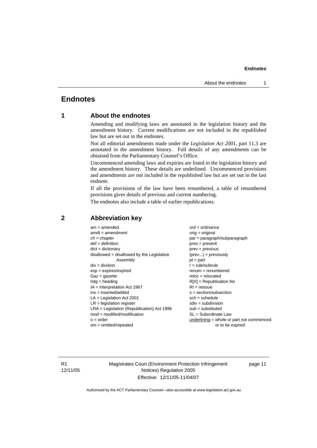#### **Endnotes**

### **Endnotes**

### **1 About the endnotes**

Amending and modifying laws are annotated in the legislation history and the amendment history. Current modifications are not included in the republished law but are set out in the endnotes.

Not all editorial amendments made under the *Legislation Act 2001*, part 11.3 are annotated in the amendment history. Full details of any amendments can be obtained from the Parliamentary Counsel's Office.

Uncommenced amending laws and expiries are listed in the legislation history and the amendment history. These details are underlined. Uncommenced provisions and amendments are not included in the republished law but are set out in the last endnote.

If all the provisions of the law have been renumbered, a table of renumbered provisions gives details of previous and current numbering.

The endnotes also include a table of earlier republications.

| $am = amended$                               | $ord = ordinance$                         |
|----------------------------------------------|-------------------------------------------|
| $amdt = amendment$                           | $orig = original$                         |
| $ch = chapter$                               | par = paragraph/subparagraph              |
| $def = definition$                           | $pres = present$                          |
| $dict = dictionary$                          | $prev = previous$                         |
| $disallowed = disallowed by the Legislative$ | $(\text{prev}) = \text{previously}$       |
| Assembly                                     | $pt = part$                               |
| $div = division$                             | $r = rule/subrule$                        |
| $exp = expires/expired$                      | $remum = renumbered$                      |
| $Gaz = gazette$                              | $reloc = relocated$                       |
| $hdg =$ heading                              | $R[X]$ = Republication No                 |
| $IA = Interpretation Act 1967$               | $RI = reissue$                            |
| $ins = inserted/added$                       | $s = section/subsection$                  |
| $LA =$ Legislation Act 2001                  | $sch = schedule$                          |
| $LR =$ legislation register                  | $sdiv = subdivision$                      |
| $LRA =$ Legislation (Republication) Act 1996 | $sub =$ substituted                       |
| $mod = modified/modification$                | SL = Subordinate Law                      |
| $o = order$                                  | underlining = whole or part not commenced |
| $om = omitted/repealed$                      | or to be expired                          |
|                                              |                                           |

#### **2 Abbreviation key**

R1 12/11/05 Magistrates Court (Environment Protection Infringement Notices) Regulation 2005 Effective: 12/11/05-11/04/07

page 11